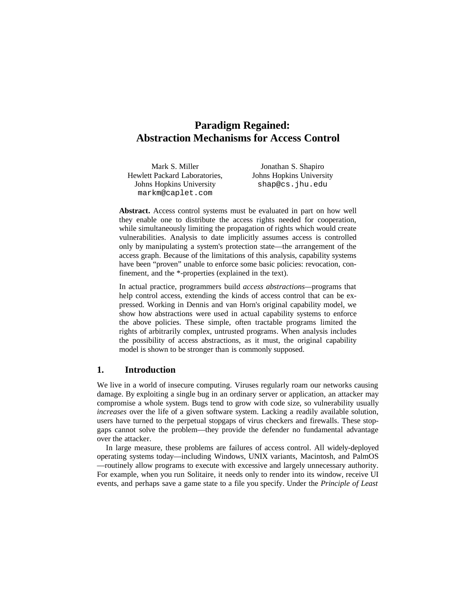# **Paradigm Regained: Abstraction Mechanisms for Access Control**

Mark S. Miller **Jonathan S. Shapiro** Hewlett Packard Laboratories, Johns Hopkins University Johns Hopkins University shap@cs.jhu.edu markm@caplet.com

**Abstract.** Access control systems must be evaluated in part on how well they enable one to distribute the access rights needed for cooperation, while simultaneously limiting the propagation of rights which would create vulnerabilities. Analysis to date implicitly assumes access is controlled only by manipulating a system's protection state—the arrangement of the access graph. Because of the limitations of this analysis, capability systems have been "proven" unable to enforce some basic policies: revocation, confinement, and the \*-properties (explained in the text).

In actual practice, programmers build *access abstractions—*programs that help control access, extending the kinds of access control that can be expressed. Working in Dennis and van Horn's original capability model, we show how abstractions were used in actual capability systems to enforce the above policies. These simple, often tractable programs limited the rights of arbitrarily complex, untrusted programs. When analysis includes the possibility of access abstractions, as it must, the original capability model is shown to be stronger than is commonly supposed.

# **1. Introduction**

We live in a world of insecure computing. Viruses regularly roam our networks causing damage. By exploiting a single bug in an ordinary server or application, an attacker may compromise a whole system. Bugs tend to grow with code size, so vulnerability usually *increases* over the life of a given software system. Lacking a readily available solution, users have turned to the perpetual stopgaps of virus checkers and firewalls. These stopgaps cannot solve the problem—they provide the defender no fundamental advantage over the attacker.

In large measure, these problems are failures of access control. All widely-deployed operating systems today—including Windows, UNIX variants, Macintosh, and PalmOS —routinely allow programs to execute with excessive and largely unnecessary authority. For example, when you run Solitaire, it needs only to render into its window, receive UI events, and perhaps save a game state to a file you specify. Under the *Principle of Least*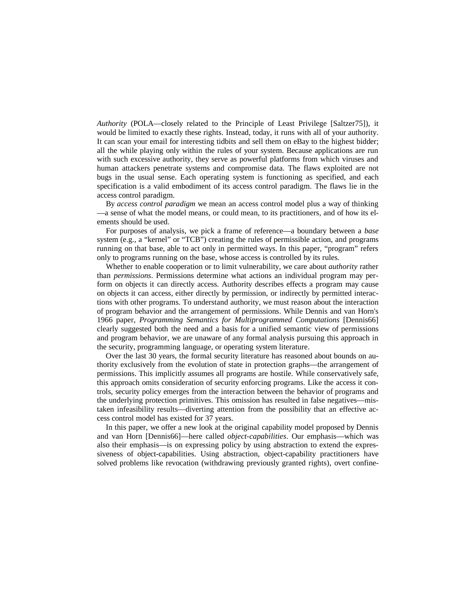*Authority* (POLA—closely related to the Principle of Least Privilege [Saltzer75]), it would be limited to exactly these rights. Instead, today, it runs with all of your authority. It can scan your email for interesting tidbits and sell them on eBay to the highest bidder; all the while playing only within the rules of your system. Because applications are run with such excessive authority, they serve as powerful platforms from which viruses and human attackers penetrate systems and compromise data. The flaws exploited are not bugs in the usual sense. Each operating system is functioning as specified, and each specification is a valid embodiment of its access control paradigm. The flaws lie in the access control paradigm.

By *access control paradigm* we mean an access control model plus a way of thinking —a sense of what the model means, or could mean, to its practitioners, and of how its elements should be used.

For purposes of analysis, we pick a frame of reference—a boundary between a *base* system (e.g., a "kernel" or "TCB") creating the rules of permissible action, and programs running on that base, able to act only in permitted ways. In this paper, "program" refers only to programs running on the base, whose access is controlled by its rules.

Whether to enable cooperation or to limit vulnerability, we care about *authority* rather than *permissions*. Permissions determine what actions an individual program may perform on objects it can directly access. Authority describes effects a program may cause on objects it can access, either directly by permission, or indirectly by permitted interactions with other programs. To understand authority, we must reason about the interaction of program behavior and the arrangement of permissions. While Dennis and van Horn's 1966 paper, *Programming Semantics for Multiprogrammed Computations* [Dennis66] clearly suggested both the need and a basis for a unified semantic view of permissions and program behavior, we are unaware of any formal analysis pursuing this approach in the security, programming language, or operating system literature.

Over the last 30 years, the formal security literature has reasoned about bounds on authority exclusively from the evolution of state in protection graphs—the arrangement of permissions. This implicitly assumes all programs are hostile. While conservatively safe, this approach omits consideration of security enforcing programs. Like the access it controls, security policy emerges from the interaction between the behavior of programs and the underlying protection primitives. This omission has resulted in false negatives—mistaken infeasibility results—diverting attention from the possibility that an effective access control model has existed for 37 years.

In this paper, we offer a new look at the original capability model proposed by Dennis and van Horn [Dennis66]—here called *object-capabilities*. Our emphasis—which was also their emphasis—is on expressing policy by using abstraction to extend the expressiveness of object-capabilities. Using abstraction, object-capability practitioners have solved problems like revocation (withdrawing previously granted rights), overt confine-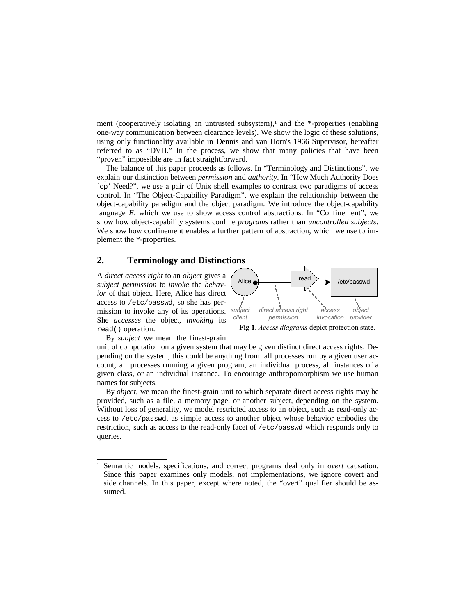ment (cooperatively isolating an untrusted subsystem), <sup>1</sup> and the \*-properties (enabling one-way communication between clearance levels). We show the logic of these solutions, using only functionality available in Dennis and van Horn's 1966 Supervisor, hereafter referred to as "DVH." In the process, we show that many policies that have been "proven" impossible are in fact straightforward.

The balance of this paper proceeds as follows. In "Terminology and Distinctions", we explain our distinction between *permission* and *authority*. In "How Much Authority Does 'cp' Need?", we use a pair of Unix shell examples to contrast two paradigms of access control. In "The Object-Capability Paradigm", we explain the relationship between the object-capability paradigm and the object paradigm. We introduce the object-capability language  $E$ , which we use to show access control abstractions. In "Confinement", we show how object-capability systems confine *programs* rather than *uncontrolled subjects*. We show how confinement enables a further pattern of abstraction, which we use to implement the \*-properties.

# **2. Terminology and Distinctions**

A *direct access right* to an *object* gives a *subject permission* to *invoke* the *behavior* of that object. Here, Alice has direct access to /etc/passwd, so she has permission to invoke any of its operations. She *accesses* the object, *invoking* its read() operation.

By *subject* we mean the finest-grain



**Fig 1**. *Access diagrams* depict protection state.

unit of computation on a given system that may be given distinct direct access rights. Depending on the system, this could be anything from: all processes run by a given user account, all processes running a given program, an individual process, all instances of a given class, or an individual instance. To encourage anthropomorphism we use human names for subjects.

By *object*, we mean the finest-grain unit to which separate direct access rights may be provided, such as a file, a memory page, or another subject, depending on the system. Without loss of generality, we model restricted access to an object, such as read-only access to /etc/passwd, as simple access to another object whose behavior embodies the restriction, such as access to the read-only facet of /etc/passwd which responds only to queries.

<sup>1</sup> Semantic models, specifications, and correct programs deal only in *overt* causation. Since this paper examines only models, not implementations, we ignore covert and side channels. In this paper, except where noted, the "overt" qualifier should be assumed.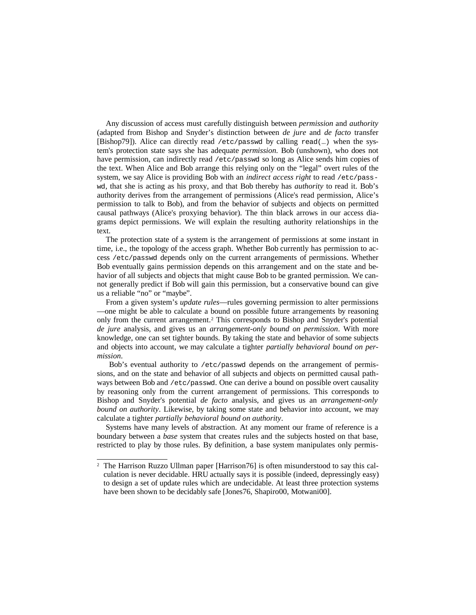Any discussion of access must carefully distinguish between *permission* and *authority* (adapted from Bishop and Snyder's distinction between *de jure* and *de facto* transfer [Bishop79]). Alice can directly read /etc/passwd by calling read(…) when the system's protection state says she has adequate *permission*. Bob (unshown), who does not have permission, can indirectly read /etc/passwd so long as Alice sends him copies of the text. When Alice and Bob arrange this relying only on the "legal" overt rules of the system, we say Alice is providing Bob with an *indirect access right* to read /etc/passwd, that she is acting as his proxy, and that Bob thereby has *authority* to read it. Bob's authority derives from the arrangement of permissions (Alice's read permission, Alice's permission to talk to Bob), and from the behavior of subjects and objects on permitted causal pathways (Alice's proxying behavior). The thin black arrows in our access diagrams depict permissions. We will explain the resulting authority relationships in the text.

The protection state of a system is the arrangement of permissions at some instant in time, i.e., the topology of the access graph. Whether Bob currently has permission to access /etc/passwd depends only on the current arrangements of permissions. Whether Bob eventually gains permission depends on this arrangement and on the state and behavior of all subjects and objects that might cause Bob to be granted permission. We cannot generally predict if Bob will gain this permission, but a conservative bound can give us a reliable "no" or "maybe".

From a given system's *update rules*—rules governing permission to alter permissions —one might be able to calculate a bound on possible future arrangements by reasoning only from the current arrangement. <sup>2</sup> This corresponds to Bishop and Snyder's potential *de jure* analysis, and gives us an *arrangement-only bound on permission*. With more knowledge, one can set tighter bounds. By taking the state and behavior of some subjects and objects into account, we may calculate a tighter *partially behavioral bound on permission*.

Bob's eventual authority to /etc/passwd depends on the arrangement of permissions, and on the state and behavior of all subjects and objects on permitted causal pathways between Bob and /etc/passwd. One can derive a bound on possible overt causality by reasoning only from the current arrangement of permissions. This corresponds to Bishop and Snyder's potential *de facto* analysis, and gives us an *arrangement-only bound on authority*. Likewise, by taking some state and behavior into account, we may calculate a tighter *partially behavioral bound on authority*.

Systems have many levels of abstraction. At any moment our frame of reference is a boundary between a *base* system that creates rules and the subjects hosted on that base, restricted to play by those rules. By definition, a base system manipulates only permis-

<sup>2</sup> The Harrison Ruzzo Ullman paper [Harrison76] is often misunderstood to say this calculation is never decidable. HRU actually says it is possible (indeed, depressingly easy) to design a set of update rules which are undecidable. At least three protection systems have been shown to be decidably safe [Jones76, Shapiro00, Motwani00].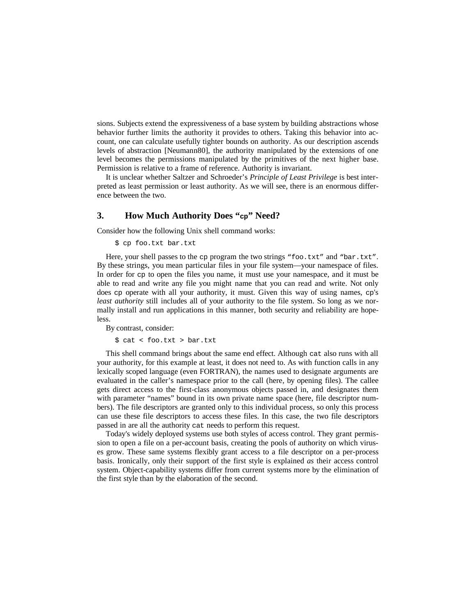sions. Subjects extend the expressiveness of a base system by building abstractions whose behavior further limits the authority it provides to others. Taking this behavior into account, one can calculate usefully tighter bounds on authority. As our description ascends levels of abstraction [Neumann80], the authority manipulated by the extensions of one level becomes the permissions manipulated by the primitives of the next higher base. Permission is relative to a frame of reference. Authority is invariant.

It is unclear whether Saltzer and Schroeder's *Principle of Least Privilege* is best interpreted as least permission or least authority. As we will see, there is an enormous difference between the two.

# **3. How Much Authority Does "cp" Need?**

Consider how the following Unix shell command works:

```
$ cp foo.txt bar.txt
```
Here, your shell passes to the cp program the two strings "foo.txt" and "bar.txt". By these strings, you mean particular files in your file system—your namespace of files. In order for cp to open the files you name, it must use your namespace, and it must be able to read and write any file you might name that you can read and write. Not only does cp operate with all your authority, it must. Given this way of using names, cp's *least authority* still includes all of your authority to the file system. So long as we normally install and run applications in this manner, both security and reliability are hopeless.

By contrast, consider:

\$ cat < foo.txt > bar.txt

This shell command brings about the same end effect. Although cat also runs with all your authority, for this example at least, it does not need to. As with function calls in any lexically scoped language (even FORTRAN), the names used to designate arguments are evaluated in the caller's namespace prior to the call (here, by opening files). The callee gets direct access to the first-class anonymous objects passed in, and designates them with parameter "names" bound in its own private name space (here, file descriptor numbers). The file descriptors are granted only to this individual process, so only this process can use these file descriptors to access these files. In this case, the two file descriptors passed in are all the authority cat needs to perform this request.

Today's widely deployed systems use both styles of access control. They grant permission to open a file on a per-account basis, creating the pools of authority on which viruses grow. These same systems flexibly grant access to a file descriptor on a per-process basis. Ironically, only their support of the first style is explained *as* their access control system. Object-capability systems differ from current systems more by the elimination of the first style than by the elaboration of the second.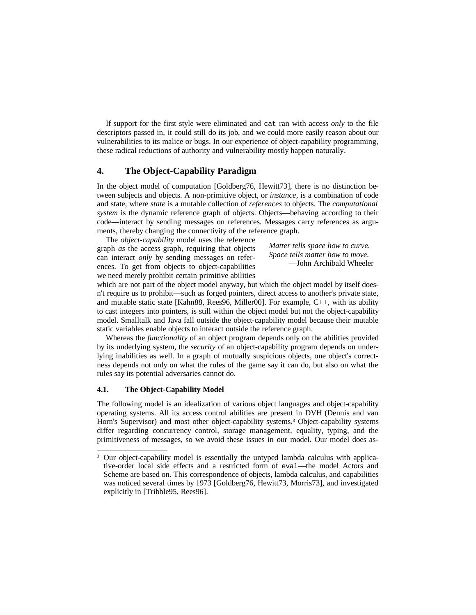If support for the first style were eliminated and cat ran with access *only* to the file descriptors passed in, it could still do its job, and we could more easily reason about our vulnerabilities to its malice or bugs. In our experience of object-capability programming, these radical reductions of authority and vulnerability mostly happen naturally.

# **4. The Object-Capability Paradigm**

In the object model of computation [Goldberg76, Hewitt73], there is no distinction between subjects and objects. A non-primitive object, or *instance*, is a combination of code and state, where *state* is a mutable collection of *references* to objects. The *computational system* is the dynamic reference graph of objects. Objects—behaving according to their code—interact by sending messages on references. Messages carry references as arguments, thereby changing the connectivity of the reference graph.

The *object-capability* model uses the reference graph *as* the access graph, requiring that objects can interact *only* by sending messages on references. To get from objects to object-capabilities we need merely prohibit certain primitive abilities



which are not part of the object model anyway, but which the object model by itself doesn't require us to prohibit—such as forged pointers, direct access to another's private state, and mutable static state [Kahn88, Rees96, Miller00]. For example, C++, with its ability to cast integers into pointers, is still within the object model but not the object-capability model. Smalltalk and Java fall outside the object-capability model because their mutable static variables enable objects to interact outside the reference graph.

Whereas the *functionality* of an object program depends only on the abilities provided by its underlying system, the *security* of an object-capability program depends on underlying inabilities as well. In a graph of mutually suspicious objects, one object's correctness depends not only on what the rules of the game say it can do, but also on what the rules say its potential adversaries cannot do.

## **4.1. The Object-Capability Model**

The following model is an idealization of various object languages and object-capability operating systems. All its access control abilities are present in DVH (Dennis and van Horn's Supervisor) and most other object-capability systems. <sup>3</sup> Object-capability systems differ regarding concurrency control, storage management, equality, typing, and the primitiveness of messages, so we avoid these issues in our model. Our model does as-

<sup>3</sup> Our object-capability model is essentially the untyped lambda calculus with applicative-order local side effects and a restricted form of eval—the model Actors and Scheme are based on. This correspondence of objects, lambda calculus, and capabilities was noticed several times by 1973 [Goldberg76, Hewitt73, Morris73], and investigated explicitly in [Tribble95, Rees96].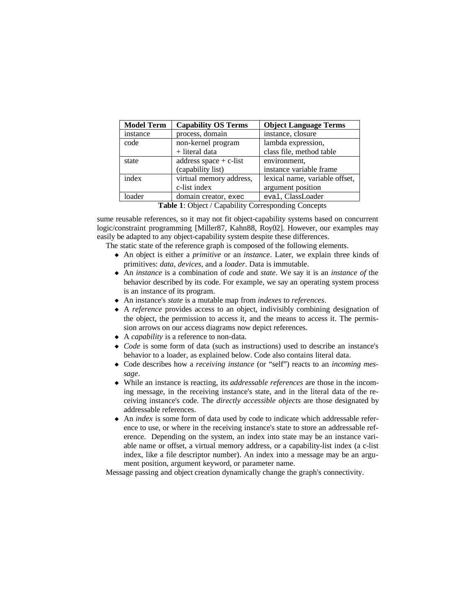| <b>Model Term</b>                                               | <b>Capability OS Terms</b> | <b>Object Language Terms</b>   |
|-----------------------------------------------------------------|----------------------------|--------------------------------|
| instance                                                        | process, domain            | instance, closure              |
| code                                                            | non-kernel program         | lambda expression,             |
|                                                                 | + literal data             | class file, method table       |
| state                                                           | address space $+ c$ -list  | environment.                   |
|                                                                 | (capability list)          | instance variable frame        |
| index                                                           | virtual memory address,    | lexical name, variable offset, |
|                                                                 | c-list index               | argument position              |
| loader                                                          | domain creator, exec       | eval, ClassLoader              |
| $\mathbf{Table 1.}$ Okiaat (Canakility Cannon and in a Canacuta |                            |                                |

**Table 1**: Object / Capability Corresponding Concepts

sume reusable references, so it may not fit object-capability systems based on concurrent logic/constraint programming [Miller87, Kahn88, Roy02]. However, our examples may easily be adapted to any object-capability system despite these differences.

The static state of the reference graph is composed of the following elements.

- An object is either a *primitive* or an *instance*. Later, we explain three kinds of primitives: *data*, *devices*, and a *loader*. Data is immutable.
- An *instance* is a combination of *code* and *state*. We say it is an *instance of* the behavior described by its code. For example, we say an operating system process is an instance of its program.
- An instance's *state* is a mutable map from *indexes* to *references*.
- A *reference* provides access to an object, indivisibly combining designation of the object, the permission to access it, and the means to access it. The permission arrows on our access diagrams now depict references.
- A *capability* is a reference to non-data.
- ◆ *Code* is some form of data (such as instructions) used to describe an instance's behavior to a loader, as explained below. Code also contains literal data.
- Code describes how a *receiving instance* (or "self") reacts to an *incoming message*.
- While an instance is reacting, its *addressable references* are those in the incoming message, in the receiving instance's state, and in the literal data of the receiving instance's code. The *directly accessible objects* are those designated by addressable references.
- An *index* is some form of data used by code to indicate which addressable reference to use, or where in the receiving instance's state to store an addressable reference. Depending on the system, an index into state may be an instance variable name or offset, a virtual memory address, or a capability-list index (a c-list index, like a file descriptor number). An index into a message may be an argument position, argument keyword, or parameter name.

Message passing and object creation dynamically change the graph's connectivity.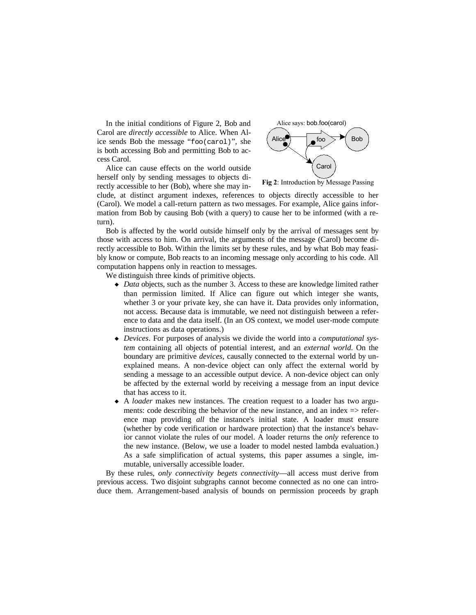In the initial conditions of Figure 2, Bob and Carol are *directly accessible* to Alice. When Alice sends Bob the message "foo(carol)", she is both accessing Bob and permitting Bob to access Carol.

Alice can cause effects on the world outside herself only by sending messages to objects directly accessible to her (Bob), where she may in-



**Fig 2**: Introduction by Message Passing

clude, at distinct argument indexes, references to objects directly accessible to her (Carol). We model a call-return pattern as two messages. For example, Alice gains information from Bob by causing Bob (with a query) to cause her to be informed (with a return).

Bob is affected by the world outside himself only by the arrival of messages sent by those with access to him. On arrival, the arguments of the message (Carol) become directly accessible to Bob. Within the limits set by these rules, and by what Bob may feasibly know or compute, Bob reacts to an incoming message only according to his code. All computation happens only in reaction to messages.

We distinguish three kinds of primitive objects.

- ◆ *Data* objects, such as the number 3. Access to these are knowledge limited rather than permission limited. If Alice can figure out which integer she wants, whether 3 or your private key, she can have it. Data provides only information, not access. Because data is immutable, we need not distinguish between a reference to data and the data itself. (In an OS context, we model user-mode compute instructions as data operations.)
- *Devices*. For purposes of analysis we divide the world into a *computational system* containing all objects of potential interest, and an *external world*. On the boundary are primitive *devices*, causally connected to the external world by unexplained means. A non-device object can only affect the external world by sending a message to an accessible output device. A non-device object can only be affected by the external world by receiving a message from an input device that has access to it.
- A *loader* makes new instances. The creation request to a loader has two arguments: code describing the behavior of the new instance, and an index  $\Rightarrow$  reference map providing *all* the instance's initial state. A loader must ensure (whether by code verification or hardware protection) that the instance's behavior cannot violate the rules of our model. A loader returns the *only* reference to the new instance. (Below, we use a loader to model nested lambda evaluation.) As a safe simplification of actual systems, this paper assumes a single, immutable, universally accessible loader.

By these rules, *only connectivity begets connectivity*—all access must derive from previous access. Two disjoint subgraphs cannot become connected as no one can introduce them. Arrangement-based analysis of bounds on permission proceeds by graph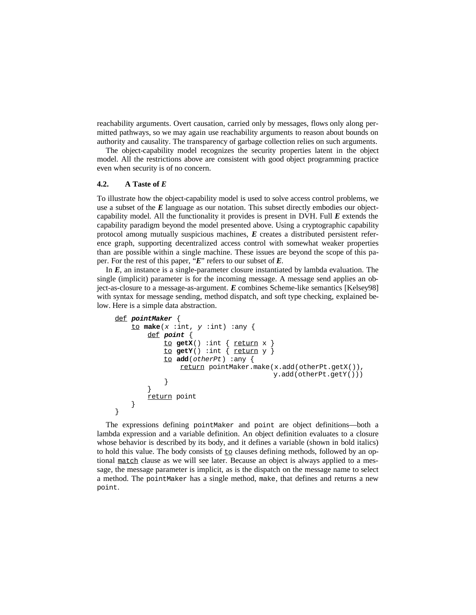reachability arguments. Overt causation, carried only by messages, flows only along permitted pathways, so we may again use reachability arguments to reason about bounds on authority and causality. The transparency of garbage collection relies on such arguments.

The object-capability model recognizes the security properties latent in the object model. All the restrictions above are consistent with good object programming practice even when security is of no concern.

### **4.2. A Taste of** *E*

To illustrate how the object-capability model is used to solve access control problems, we use a subset of the *E* language as our notation. This subset directly embodies our objectcapability model. All the functionality it provides is present in DVH. Full *E* extends the capability paradigm beyond the model presented above. Using a cryptographic capability protocol among mutually suspicious machines, *E* creates a distributed persistent reference graph, supporting decentralized access control with somewhat weaker properties than are possible within a single machine. These issues are beyond the scope of this paper. For the rest of this paper, "*E*" refers to our subset of *E*.

In *E*, an instance is a single-parameter closure instantiated by lambda evaluation. The single (implicit) parameter is for the incoming message. A message send applies an object-as-closure to a message-as-argument. *E* combines Scheme-like semantics [Kelsey98] with syntax for message sending, method dispatch, and soft type checking, explained below. Here is a simple data abstraction.

```
def pointMaker {
    <u>to</u> <b>make</b>(x : int, y : int) : any {</u>
         def point {
             to getX() :int { return x }
             to getY() : int { <u>return</u> y }
              to add(otherPt) :any {
                  return pointMaker.make(x.add(otherPt.getX()),
                                             y.add(otherPt.getY()))
              }
         }
         return point
    }
}
```
The expressions defining pointMaker and point are object definitions—both a lambda expression and a variable definition. An object definition evaluates to a closure whose behavior is described by its body, and it defines a variable (shown in bold italics) to hold this value. The body consists of  $t_0$  clauses defining methods, followed by an optional match clause as we will see later. Because an object is always applied to a message, the message parameter is implicit, as is the dispatch on the message name to select a method. The pointMaker has a single method, make, that defines and returns a new point.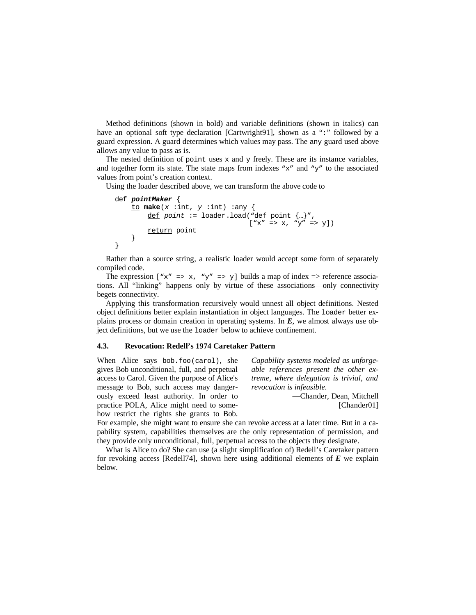Method definitions (shown in bold) and variable definitions (shown in italics) can have an optional soft type declaration [Cartwright91], shown as a ":" followed by a guard expression. A guard determines which values may pass. The any guard used above allows any value to pass as is.

The nested definition of point uses  $x$  and  $y$  freely. These are its instance variables, and together form its state. The state maps from indexes " $x''$  and " $y''$ " to the associated values from point's creation context.

Using the loader described above, we can transform the above code to

```
def pointMaker {
       <u>to</u> <b>make</b>(x <i>int</i>, y <i>int</i>) <i>any</i> {</u>
              \underline{\text{def}} point := loader.load("def point \{...\}',
                                                            \begin{bmatrix} \n^w x'' &=& x \\ \n^w x'' &=& x \n\end{bmatrix}return point
       }
}
```
Rather than a source string, a realistic loader would accept some form of separately compiled code.

The expression  $[xx'' \Rightarrow x, y'' \Rightarrow y]$  builds a map of index => reference associations. All "linking" happens only by virtue of these associations—only connectivity begets connectivity.

Applying this transformation recursively would unnest all object definitions. Nested object definitions better explain instantiation in object languages. The loader better explains process or domain creation in operating systems. In *E*, we almost always use object definitions, but we use the loader below to achieve confinement.

### **4.3. Revocation: Redell's 1974 Caretaker Pattern**

When Alice says bob.foo(carol), she gives Bob unconditional, full, and perpetual access to Carol. Given the purpose of Alice's message to Bob, such access may dangerously exceed least authority. In order to practice POLA, Alice might need to somehow restrict the rights she grants to Bob.

*Capability systems modeled as unforgeable references present the other extreme, where delegation is trivial, and revocation is infeasible.*

> —Chander, Dean, Mitchell [Chander01]

For example, she might want to ensure she can revoke access at a later time. But in a capability system, capabilities themselves are the only representation of permission, and they provide only unconditional, full, perpetual access to the objects they designate.

What is Alice to do? She can use (a slight simplification of) Redell's Caretaker pattern for revoking access [Redell74], shown here using additional elements of *E* we explain below.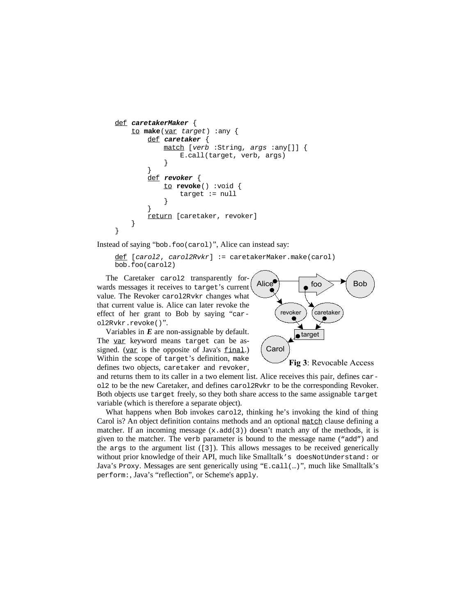```
def caretakerMaker {
    to make(var target) :any {
        def caretaker {
            match [verb :String, args :any[]] {
                E.call(target, verb, args)
            }
        }
        def revoker {
            to revoke() :void {
                target := null}
        }
        return [caretaker, revoker]
    }
}
```
Instead of saying "bob.foo(carol)", Alice can instead say:

```
def [carol2, carol2Rvkr] := caretakerMaker.make(carol)
bob.foo(carol2)
```
The Caretaker carol2 transparently forwards messages it receives to target's current value. The Revoker carol2Rvkr changes what that current value is. Alice can later revoke the effect of her grant to Bob by saying "carol2Rvkr.revoke()".

Variables in *E* are non-assignable by default. The var keyword means target can be assigned. (var is the opposite of Java's final.) Within the scope of target's definition, make defines two objects, caretaker and revoker,



and returns them to its caller in a two element list. Alice receives this pair, defines carol2 to be the new Caretaker, and defines carol2Rvkr to be the corresponding Revoker. Both objects use target freely, so they both share access to the same assignable target variable (which is therefore a separate object).

What happens when Bob invokes carol2, thinking he's invoking the kind of thing Carol is? An object definition contains methods and an optional match clause defining a matcher. If an incoming message  $(x.add(3))$  doesn't match any of the methods, it is given to the matcher. The verb parameter is bound to the message name ("add") and the args to the argument list ([3]). This allows messages to be received generically without prior knowledge of their API, much like Smalltalk's doesNotUnderstand: or Java's Proxy. Messages are sent generically using "E.call(…)", much like Smalltalk's perform:, Java's "reflection", or Scheme's apply.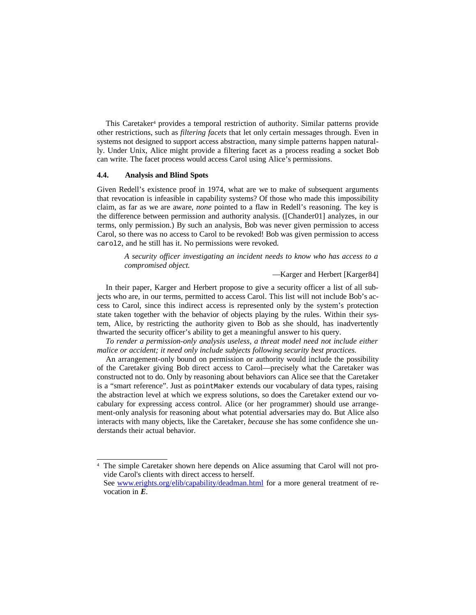This Caretaker <sup>4</sup> provides a temporal restriction of authority. Similar patterns provide other restrictions, such as *filtering facets* that let only certain messages through. Even in systems not designed to support access abstraction, many simple patterns happen naturally. Under Unix, Alice might provide a filtering facet as a process reading a socket Bob can write. The facet process would access Carol using Alice's permissions.

# **4.4. Analysis and Blind Spots**

Given Redell's existence proof in 1974, what are we to make of subsequent arguments that revocation is infeasible in capability systems? Of those who made this impossibility claim, as far as we are aware, *none* pointed to a flaw in Redell's reasoning. The key is the difference between permission and authority analysis. ([Chander01] analyzes, in our terms, only permission.) By such an analysis, Bob was never given permission to access Carol, so there was no access to Carol to be revoked! Bob was given permission to access carol2, and he still has it. No permissions were revoked.

*A security officer investigating an incident needs to know who has access to a compromised object.*

—Karger and Herbert [Karger84]

In their paper, Karger and Herbert propose to give a security officer a list of all subjects who are, in our terms, permitted to access Carol. This list will not include Bob's access to Carol, since this indirect access is represented only by the system's protection state taken together with the behavior of objects playing by the rules. Within their system, Alice, by restricting the authority given to Bob as she should, has inadvertently thwarted the security officer's ability to get a meaningful answer to his query.

*To render a permission-only analysis useless, a threat model need not include either malice or accident; it need only include subjects following security best practices.*

An arrangement-only bound on permission or authority would include the possibility of the Caretaker giving Bob direct access to Carol—precisely what the Caretaker was constructed not to do. Only by reasoning about behaviors can Alice see that the Caretaker is a "smart reference". Just as pointMaker extends our vocabulary of data types, raising the abstraction level at which we express solutions, so does the Caretaker extend our vocabulary for expressing access control. Alice (or her programmer) should use arrangement-only analysis for reasoning about what potential adversaries may do. But Alice also interacts with many objects, like the Caretaker, *because* she has some confidence she understands their actual behavior.

<sup>4</sup> The simple Caretaker shown here depends on Alice assuming that Carol will not provide Carol's clients with direct access to herself.

See www.erights.org/elib/capability/deadman.html for a more general treatment of revocation in *E*.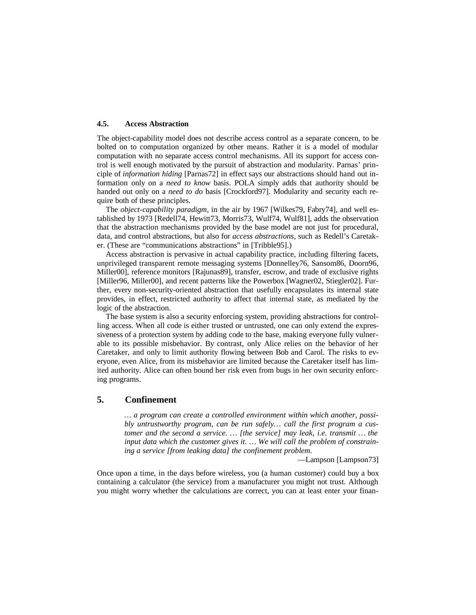# **4.5. Access Abstraction**

The object-capability model does not describe access control as a separate concern, to be bolted on to computation organized by other means. Rather it is a model of modular computation with no separate access control mechanisms. All its support for access control is well enough motivated by the pursuit of abstraction and modularity. Parnas' principle of *information hiding* [Parnas72] in effect says our abstractions should hand out information only on a *need to know* basis. POLA simply adds that authority should be handed out only on a *need to do* basis [Crockford97]. Modularity and security each require both of these principles.

The *object-capability paradigm*, in the air by 1967 [Wilkes79, Fabry74], and well established by 1973 [Redell74, Hewitt73, Morris73, Wulf74, Wulf81], adds the observation that the abstraction mechanisms provided by the base model are not just for procedural, data, and control abstractions, but also for *access abstractions*, such as Redell's Caretaker. (These are "communications abstractions" in [Tribble95].)

Access abstraction is pervasive in actual capability practice, including filtering facets, unprivileged transparent remote messaging systems [Donnelley76, Sansom86, Doorn96, Miller00], reference monitors [Rajunas89], transfer, escrow, and trade of exclusive rights [Miller96, Miller00], and recent patterns like the Powerbox [Wagner02, Stiegler02]. Further, every non-security-oriented abstraction that usefully encapsulates its internal state provides, in effect, restricted authority to affect that internal state, as mediated by the logic of the abstraction.

The base system is also a security enforcing system, providing abstractions for controlling access. When all code is either trusted or untrusted, one can only extend the expressiveness of a protection system by adding code to the base, making everyone fully vulnerable to its possible misbehavior. By contrast, only Alice relies on the behavior of her Caretaker, and only to limit authority flowing between Bob and Carol. The risks to everyone, even Alice, from its misbehavior are limited because the Caretaker itself has limited authority. Alice can often bound her risk even from bugs in her own security enforcing programs.

# **5. Confinement**

*… a program can create a controlled environment within which another, possibly untrustworthy program, can be run safely… call the first program a customer and the second a service. … [the service] may leak, i.e. transmit … the input data which the customer gives it. … We will call the problem of constraining a service [from leaking data] the confinement problem.*

—Lampson [Lampson73]

Once upon a time, in the days before wireless, you (a human customer) could buy a box containing a calculator (the service) from a manufacturer you might not trust. Although you might worry whether the calculations are correct, you can at least enter your finan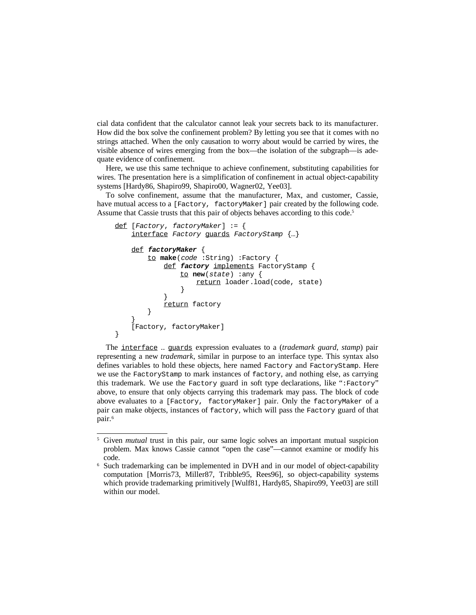cial data confident that the calculator cannot leak your secrets back to its manufacturer. How did the box solve the confinement problem? By letting you see that it comes with no strings attached. When the only causation to worry about would be carried by wires, the visible absence of wires emerging from the box—the isolation of the subgraph—is adequate evidence of confinement.

Here, we use this same technique to achieve confinement, substituting capabilities for wires. The presentation here is a simplification of confinement in actual object-capability systems [Hardy86, Shapiro99, Shapiro00, Wagner02, Yee03].

To solve confinement, assume that the manufacturer, Max, and customer, Cassie, have mutual access to a [Factory, factoryMaker] pair created by the following code. Assume that Cassie trusts that this pair of objects behaves according to this code. 5

```
def [Factory, factoryMaker] := {
    interface Factory guards FactoryStamp {…}
    def factoryMaker {
        to make(code :String) :Factory {
            def factory implements FactoryStamp {
                to new(state) :any {
                    return loader.load(code, state)
                 }
            }
            return factory
        }
    }
    [Factory, factoryMaker]
}
```
The interface .. guards expression evaluates to a (*trademark guard*, *stamp*) pair representing a new *trademark*, similar in purpose to an interface type. This syntax also defines variables to hold these objects, here named Factory and FactoryStamp. Here we use the FactoryStamp to mark instances of factory, and nothing else, as carrying this trademark. We use the Factory guard in soft type declarations, like ":Factory" above, to ensure that only objects carrying this trademark may pass. The block of code above evaluates to a [Factory, factoryMaker] pair. Only the factoryMaker of a pair can make objects, instances of factory, which will pass the Factory guard of that pair. 6

<sup>5</sup> Given *mutual* trust in this pair, our same logic solves an important mutual suspicion problem. Max knows Cassie cannot "open the case"—cannot examine or modify his code.

<sup>6</sup> Such trademarking can be implemented in DVH and in our model of object-capability computation [Morris73, Miller87, Tribble95, Rees96], so object-capability systems which provide trademarking primitively [Wulf81, Hardy85, Shapiro99, Yee03] are still within our model.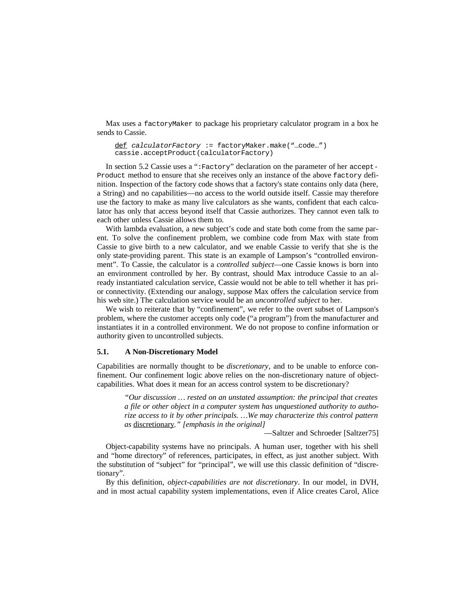Max uses a factoryMaker to package his proprietary calculator program in a box he sends to Cassie.

def calculatorFactory := factoryMaker.make("…code…") cassie.acceptProduct(calculatorFactory)

In section 5.2 Cassie uses a ":Factory" declaration on the parameter of her accept-Product method to ensure that she receives only an instance of the above factory definition. Inspection of the factory code shows that a factory's state contains only data (here, a String) and no capabilities—no access to the world outside itself. Cassie may therefore use the factory to make as many live calculators as she wants, confident that each calculator has only that access beyond itself that Cassie authorizes. They cannot even talk to each other unless Cassie allows them to.

With lambda evaluation, a new subject's code and state both come from the same parent. To solve the confinement problem, we combine code from Max with state from Cassie to give birth to a new calculator, and we enable Cassie to verify that she is the only state-providing parent. This state is an example of Lampson's "controlled environment". To Cassie, the calculator is a *controlled subject*—one Cassie knows is born into an environment controlled by her. By contrast, should Max introduce Cassie to an already instantiated calculation service, Cassie would not be able to tell whether it has prior connectivity. (Extending our analogy, suppose Max offers the calculation service from his web site.) The calculation service would be an *uncontrolled subject* to her.

We wish to reiterate that by "confinement", we refer to the overt subset of Lampson's problem, where the customer accepts only code ("a program") from the manufacturer and instantiates it in a controlled environment. We do not propose to confine information or authority given to uncontrolled subjects.

#### **5.1. A Non-Discretionary Model**

Capabilities are normally thought to be *discretionary*, and to be unable to enforce confinement. Our confinement logic above relies on the non-discretionary nature of objectcapabilities. What does it mean for an access control system to be discretionary?

*"Our discussion … rested on an unstated assumption: the principal that creates a file or other object in a computer system has unquestioned authority to authorize access to it by other principals. …We may characterize this control pattern as* discretionary*." [emphasis in the original]*

—Saltzer and Schroeder [Saltzer75]

Object-capability systems have no principals. A human user, together with his shell and "home directory" of references, participates, in effect, as just another subject. With the substitution of "subject" for "principal", we will use this classic definition of "discretionary".

By this definition, *object-capabilities are not discretionary*. In our model, in DVH, and in most actual capability system implementations, even if Alice creates Carol, Alice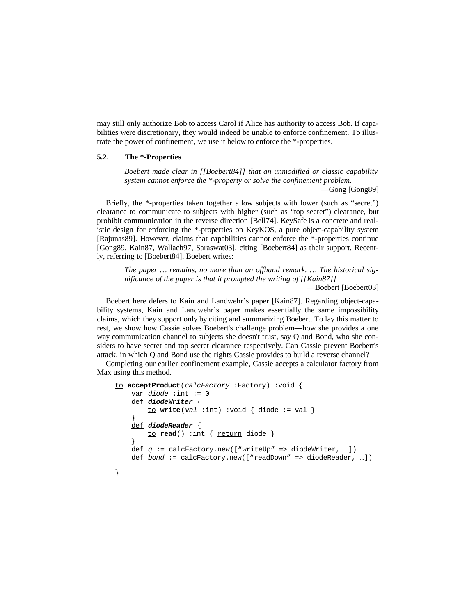may still only authorize Bob to access Carol if Alice has authority to access Bob. If capabilities were discretionary, they would indeed be unable to enforce confinement. To illustrate the power of confinement, we use it below to enforce the \*-properties.

# **5.2. The \*-Properties**

*Boebert made clear in [[Boebert84]] that an unmodified or classic capability system cannot enforce the \*-property or solve the confinement problem.*

—Gong [Gong89]

Briefly, the \*-properties taken together allow subjects with lower (such as "secret") clearance to communicate to subjects with higher (such as "top secret") clearance, but prohibit communication in the reverse direction [Bell74]. KeySafe is a concrete and realistic design for enforcing the \*-properties on KeyKOS, a pure object-capability system [Rajunas89]. However, claims that capabilities cannot enforce the \*-properties continue [Gong89, Kain87, Wallach97, Saraswat03], citing [Boebert84] as their support. Recently, referring to [Boebert84], Boebert writes:

*The paper … remains, no more than an offhand remark. … The historical significance of the paper is that it prompted the writing of [[Kain87]]*

—Boebert [Boebert03]

Boebert here defers to Kain and Landwehr's paper [Kain87]. Regarding object-capability systems, Kain and Landwehr's paper makes essentially the same impossibility claims, which they support only by citing and summarizing Boebert. To lay this matter to rest, we show how Cassie solves Boebert's challenge problem—how she provides a one way communication channel to subjects she doesn't trust, say Q and Bond, who she considers to have secret and top secret clearance respectively. Can Cassie prevent Boebert's attack, in which Q and Bond use the rights Cassie provides to build a reverse channel?

Completing our earlier confinement example, Cassie accepts a calculator factory from Max using this method.

```
to acceptProduct(calcFactory :Factory) :void {
    var diode : int := 0def diodeWriter {
         to write(val :int) :void { diode := val }
     }
    def diodeReader {
         to read() :int { return diode }
     }
    \overline{\text{def}} q := \text{category.new}([\text{``writeUp''} \implies \text{diodeWriter}, \text{ ...}])def bond := calcFactory.new(["readDown" => diodeReader, …])
     …
}
```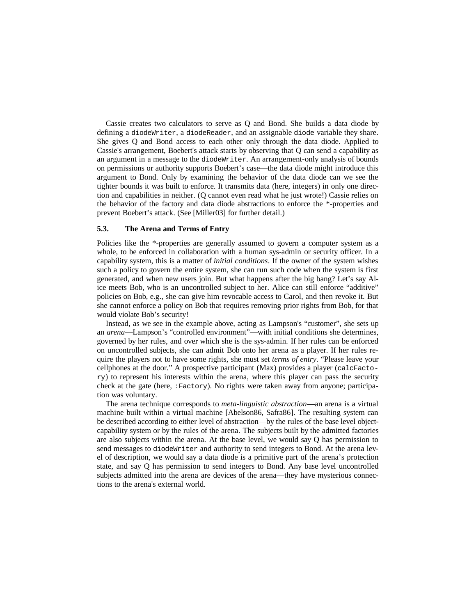Cassie creates two calculators to serve as Q and Bond. She builds a data diode by defining a diodeWriter, a diodeReader, and an assignable diode variable they share. She gives Q and Bond access to each other only through the data diode. Applied to Cassie's arrangement, Boebert's attack starts by observing that Q can send a capability as an argument in a message to the diodeWriter. An arrangement-only analysis of bounds on permissions or authority supports Boebert's case—the data diode might introduce this argument to Bond. Only by examining the behavior of the data diode can we see the tighter bounds it was built to enforce. It transmits data (here, integers) in only one direction and capabilities in neither. (Q cannot even read what he just wrote!) Cassie relies on the behavior of the factory and data diode abstractions to enforce the \*-properties and prevent Boebert's attack. (See [Miller03] for further detail.)

# **5.3. The Arena and Terms of Entry**

Policies like the \*-properties are generally assumed to govern a computer system as a whole, to be enforced in collaboration with a human sys-admin or security officer. In a capability system, this is a matter of *initial conditions*. If the owner of the system wishes such a policy to govern the entire system, she can run such code when the system is first generated, and when new users join. But what happens after the big bang? Let's say Alice meets Bob, who is an uncontrolled subject to her. Alice can still enforce "additive" policies on Bob, e.g., she can give him revocable access to Carol, and then revoke it. But she cannot enforce a policy on Bob that requires removing prior rights from Bob, for that would violate Bob's security!

Instead, as we see in the example above, acting as Lampson's "customer", she sets up an *arena*—Lampson's "controlled environment"—with initial conditions she determines, governed by her rules, and over which she is the sys-admin. If her rules can be enforced on uncontrolled subjects, she can admit Bob onto her arena as a player. If her rules require the players not to have some rights, she must set *terms of entry*. "Please leave your cellphones at the door." A prospective participant (Max) provides a player (calcFactory) to represent his interests within the arena, where this player can pass the security check at the gate (here, :Factory). No rights were taken away from anyone; participation was voluntary.

The arena technique corresponds to *meta-linguistic abstraction*—an arena is a virtual machine built within a virtual machine [Abelson86, Safra86]. The resulting system can be described according to either level of abstraction—by the rules of the base level objectcapability system or by the rules of the arena. The subjects built by the admitted factories are also subjects within the arena. At the base level, we would say Q has permission to send messages to diodeWriter and authority to send integers to Bond. At the arena level of description, we would say a data diode is a primitive part of the arena's protection state, and say Q has permission to send integers to Bond. Any base level uncontrolled subjects admitted into the arena are devices of the arena—they have mysterious connections to the arena's external world.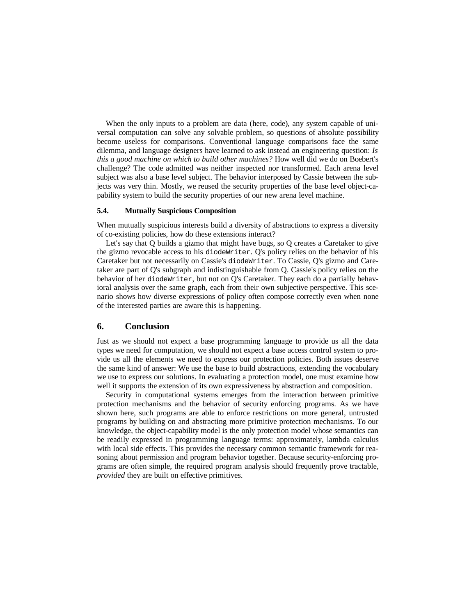When the only inputs to a problem are data (here, code), any system capable of universal computation can solve any solvable problem, so questions of absolute possibility become useless for comparisons. Conventional language comparisons face the same dilemma, and language designers have learned to ask instead an engineering question: *Is this a good machine on which to build other machines?* How well did we do on Boebert's challenge? The code admitted was neither inspected nor transformed. Each arena level subject was also a base level subject. The behavior interposed by Cassie between the subjects was very thin. Mostly, we reused the security properties of the base level object-capability system to build the security properties of our new arena level machine.

### **5.4. Mutually Suspicious Composition**

When mutually suspicious interests build a diversity of abstractions to express a diversity of co-existing policies, how do these extensions interact?

Let's say that Q builds a gizmo that might have bugs, so Q creates a Caretaker to give the gizmo revocable access to his diodeWriter. Q's policy relies on the behavior of his Caretaker but not necessarily on Cassie's diodeWriter. To Cassie, Q's gizmo and Caretaker are part of Q's subgraph and indistinguishable from Q. Cassie's policy relies on the behavior of her diodeWriter, but not on Q's Caretaker. They each do a partially behavioral analysis over the same graph, each from their own subjective perspective. This scenario shows how diverse expressions of policy often compose correctly even when none of the interested parties are aware this is happening.

# **6. Conclusion**

Just as we should not expect a base programming language to provide us all the data types we need for computation, we should not expect a base access control system to provide us all the elements we need to express our protection policies. Both issues deserve the same kind of answer: We use the base to build abstractions, extending the vocabulary we use to express our solutions. In evaluating a protection model, one must examine how well it supports the extension of its own expressiveness by abstraction and composition.

Security in computational systems emerges from the interaction between primitive protection mechanisms and the behavior of security enforcing programs. As we have shown here, such programs are able to enforce restrictions on more general, untrusted programs by building on and abstracting more primitive protection mechanisms. To our knowledge, the object-capability model is the only protection model whose semantics can be readily expressed in programming language terms: approximately, lambda calculus with local side effects. This provides the necessary common semantic framework for reasoning about permission and program behavior together. Because security-enforcing programs are often simple, the required program analysis should frequently prove tractable, *provided* they are built on effective primitives.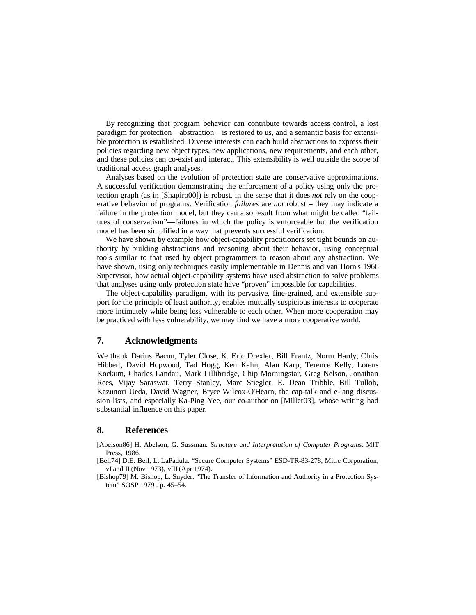By recognizing that program behavior can contribute towards access control, a lost paradigm for protection—abstraction—is restored to us, and a semantic basis for extensible protection is established. Diverse interests can each build abstractions to express their policies regarding new object types, new applications, new requirements, and each other, and these policies can co-exist and interact. This extensibility is well outside the scope of traditional access graph analyses.

Analyses based on the evolution of protection state are conservative approximations. A successful verification demonstrating the enforcement of a policy using only the protection graph (as in [Shapiro00]) is robust, in the sense that it does *not* rely on the cooperative behavior of programs. Verification *failures* are *not* robust – they may indicate a failure in the protection model, but they can also result from what might be called "failures of conservatism"—failures in which the policy is enforceable but the verification model has been simplified in a way that prevents successful verification.

We have shown by example how object-capability practitioners set tight bounds on authority by building abstractions and reasoning about their behavior, using conceptual tools similar to that used by object programmers to reason about any abstraction. We have shown, using only techniques easily implementable in Dennis and van Horn's 1966 Supervisor, how actual object-capability systems have used abstraction to solve problems that analyses using only protection state have "proven" impossible for capabilities.

The object-capability paradigm, with its pervasive, fine-grained, and extensible support for the principle of least authority, enables mutually suspicious interests to cooperate more intimately while being less vulnerable to each other. When more cooperation may be practiced with less vulnerability, we may find we have a more cooperative world.

## **7. Acknowledgments**

We thank Darius Bacon, Tyler Close, K. Eric Drexler, Bill Frantz, Norm Hardy, Chris Hibbert, David Hopwood, Tad Hogg, Ken Kahn, Alan Karp, Terence Kelly, Lorens Kockum, Charles Landau, Mark Lillibridge, Chip Morningstar, Greg Nelson, Jonathan Rees, Vijay Saraswat, Terry Stanley, Marc Stiegler, E. Dean Tribble, Bill Tulloh, Kazunori Ueda, David Wagner, Bryce Wilcox-O'Hearn, the cap-talk and e-lang discussion lists, and especially Ka-Ping Yee, our co-author on [Miller03], whose writing had substantial influence on this paper.

# **8. References**

[Abelson86] H. Abelson, G. Sussman. *Structure and Interpretation of Computer Programs*. MIT Press, 1986.

[Bell74] D.E. Bell, L. LaPadula. "Secure Computer Systems" ESD-TR-83-278, Mitre Corporation, vI and II (Nov 1973), vIII (Apr 1974).

[Bishop79] M. Bishop, L. Snyder. "The Transfer of Information and Authority in a Protection System" SOSP 1979 , p. 45–54.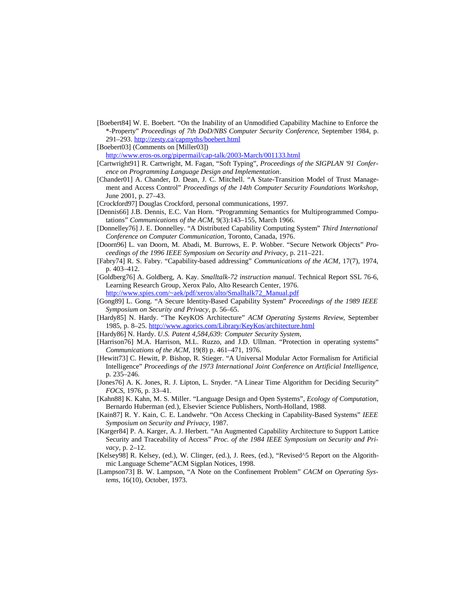[Boebert84] W. E. Boebert. "On the Inability of an Unmodified Capability Machine to Enforce the \*-Property" *Proceedings of 7th DoD/NBS Computer Security Conference*, September 1984, p. 291–293. http://zesty.ca/capmyths/boebert.html

[Boebert03] (Comments on [Miller03])

http://www.eros-os.org/pipermail/cap-talk/2003-March/001133.html

- [Cartwright91] R. Cartwright, M. Fagan, "Soft Typing", *Proceedings of the SIGPLAN '91 Conference on Programming Language Design and Implementation*.
- [Chander01] A. Chander, D. Dean, J. C. Mitchell. "A State-Transition Model of Trust Management and Access Control" *Proceedings of the 14th Computer Security Foundations Workshop*, June 2001, p. 27–43.
- [Crockford97] Douglas Crockford, personal communications, 1997.
- [Dennis66] J.B. Dennis, E.C. Van Horn. "Programming Semantics for Multiprogrammed Computations" *Communications of the ACM*, 9(3):143–155, March 1966.
- [Donnelley76] J. E. Donnelley. "A Distributed Capability Computing System" *Third International Conference on Computer Communication*, Toronto, Canada, 1976.
- [Doorn96] L. van Doorn, M. Abadi, M. Burrows, E. P. Wobber. "Secure Network Objects" *Proceedings of the 1996 IEEE Symposium on Security and Privacy*, p. 211–221.
- [Fabry74] R. S. Fabry. "Capability-based addressing" *Communications of the ACM*, 17(7), 1974, p. 403–412.
- [Goldberg76] A. Goldberg, A. Kay. *Smalltalk-72 instruction manual*. Technical Report SSL 76-6, Learning Research Group, Xerox Palo, Alto Research Center, 1976.
- http://www.spies.com/~aek/pdf/xerox/alto/Smalltalk72\_Manual.pdf
- [Gong89] L. Gong. "A Secure Identity-Based Capability System" *Proceedings of the 1989 IEEE Symposium on Security and Privacy*, p. 56–65.
- [Hardy85] N. Hardy. "The KeyKOS Architecture" *ACM Operating Systems Review*, September 1985, p. 8–25. http://www.agorics.com/Library/KeyKos/architecture.html
- [Hardy86] N. Hardy. *U.S. Patent 4,584,639: Computer Security System*,
- [Harrison76] M.A. Harrison, M.L. Ruzzo, and J.D. Ullman. "Protection in operating systems" *Communications of the ACM*, 19(8) p. 461–471, 1976.
- [Hewitt73] C. Hewitt, P. Bishop, R. Stieger. "A Universal Modular Actor Formalism for Artificial Intelligence" *Proceedings of the 1973 International Joint Conference on Artificial Intelligence*, p. 235–246.
- [Jones76] A. K. Jones, R. J. Lipton, L. Snyder. "A Linear Time Algorithm for Deciding Security" *FOCS*, 1976, p. 33–41.
- [Kahn88] K. Kahn, M. S. Miller. "Language Design and Open Systems", *Ecology of Computation*, Bernardo Huberman (ed.), Elsevier Science Publishers, North-Holland, 1988.
- [Kain87] R. Y. Kain, C. E. Landwehr. "On Access Checking in Capability-Based Systems" *IEEE Symposium on Security and Privacy*, 1987.
- [Karger84] P. A. Karger, A. J. Herbert. "An Augmented Capability Architecture to Support Lattice Security and Traceability of Access" *Proc. of the 1984 IEEE Symposium on Security and Privacy*, p. 2–12.
- [Kelsey98] R. Kelsey, (ed.), W. Clinger, (ed.), J. Rees, (ed.), "Revised^5 Report on the Algorithmic Language Scheme"ACM Sigplan Notices, 1998.
- [Lampson73] B. W. Lampson, "A Note on the Confinement Problem" *CACM on Operating Systems*, 16(10), October, 1973.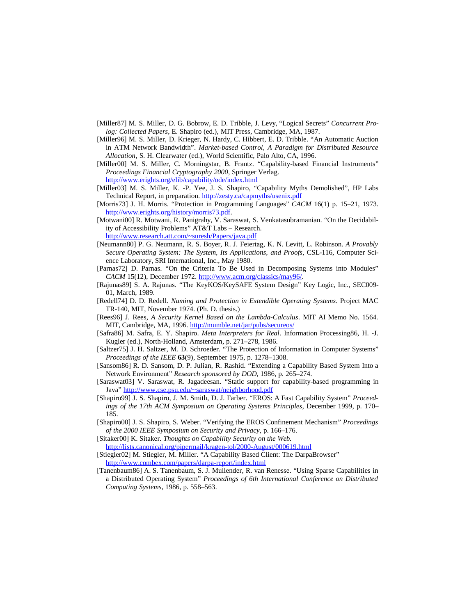- [Miller87] M. S. Miller, D. G. Bobrow, E. D. Tribble, J. Levy, "Logical Secrets" *Concurrent Prolog: Collected Papers*, E. Shapiro (ed.), MIT Press, Cambridge, MA, 1987.
- [Miller96] M. S. Miller, D. Krieger, N. Hardy, C. Hibbert, E. D. Tribble. "An Automatic Auction in ATM Network Bandwidth". *Market-based Control, A Paradigm for Distributed Resource Allocation*, S. H. Clearwater (ed.), World Scientific, Palo Alto, CA, 1996.
- [Miller00] M. S. Miller, C. Morningstar, B. Frantz. "Capability-based Financial Instruments" *Proceedings Financial Cryptography 2000*, Springer Verlag.

http://www.erights.org/elib/capability/ode/index.html

- [Miller03] M. S. Miller, K. -P. Yee, J. S. Shapiro, "Capability Myths Demolished", HP Labs Technical Report, in preparation. http://zesty.ca/capmyths/usenix.pdf
- [Morris73] J. H. Morris. "Protection in Programming Languages" *CACM* 16(1) p. 15–21, 1973. http://www.erights.org/history/morris73.pdf.
- [Motwani00] R. Motwani, R. Panigrahy, V. Saraswat, S. Venkatasubramanian. "On the Decidability of Accessibility Problems" AT&T Labs – Research. http://www.research.att.com/~suresh/Papers/java.pdf
- [Neumann80] P. G. Neumann, R. S. Boyer, R. J. Feiertag, K. N. Levitt, L. Robinson. *A Provably Secure Operating System: The System, Its Applications, and Proofs*, CSL-116, Computer Science Laboratory, SRI International, Inc., May 1980.
- [Parnas72] D. Parnas. "On the Criteria To Be Used in Decomposing Systems into Modules" *CACM* 15(12), December 1972. http://www.acm.org/classics/may96/.
- [Rajunas89] S. A. Rajunas. "The KeyKOS/KeySAFE System Design" Key Logic, Inc., SEC009- 01, March, 1989.
- [Redell74] D. D. Redell. *Naming and Protection in Extendible Operating Systems*. Project MAC TR-140, MIT, November 1974. (Ph. D. thesis.)
- [Rees96] J. Rees, *A Security Kernel Based on the Lambda-Calculus*. MIT AI Memo No. 1564. MIT, Cambridge, MA, 1996. http://mumble.net/jar/pubs/secureos/
- [Safra86] M. Safra, E. Y. Shapiro. *Meta Interpreters for Real*. Information Processing86, H. -J. Kugler (ed.), North-Holland, Amsterdam, p. 271–278, 1986.
- [Saltzer75] J. H. Saltzer, M. D. Schroeder. "The Protection of Information in Computer Systems" *Proceedings of the IEEE* **63**(9), September 1975, p. 1278–1308.
- [Sansom86] R. D. Sansom, D. P. Julian, R. Rashid. "Extending a Capability Based System Into a Network Environment" *Research sponsored by DOD*, 1986, p. 265–274.
- [Saraswat03] V. Saraswat, R. Jagadeesan. "Static support for capability-based programming in Java" http://www.cse.psu.edu/~saraswat/neighborhood.pdf
- [Shapiro99] J. S. Shapiro, J. M. Smith, D. J. Farber. "EROS: A Fast Capability System" *Proceedings of the 17th ACM Symposium on Operating Systems Principles*, December 1999, p. 170– 185.
- [Shapiro00] J. S. Shapiro, S. Weber. "Verifying the EROS Confinement Mechanism" *Proceedings of the 2000 IEEE Symposium on Security and Privacy*, p. 166–176.
- [Sitaker00] K. Sitaker. *Thoughts on Capability Security on the Web*. http://lists.canonical.org/pipermail/kragen-tol/2000-August/000619.html

[Stiegler02] M. Stiegler, M. Miller. "A Capability Based Client: The DarpaBrowser"

- http://www.combex.com/papers/darpa-report/index.html
- [Tanenbaum86] A. S. Tanenbaum, S. J. Mullender, R. van Renesse. "Using Sparse Capabilities in a Distributed Operating System" *Proceedings of 6th International Conference on Distributed Computing Systems*, 1986, p. 558–563.